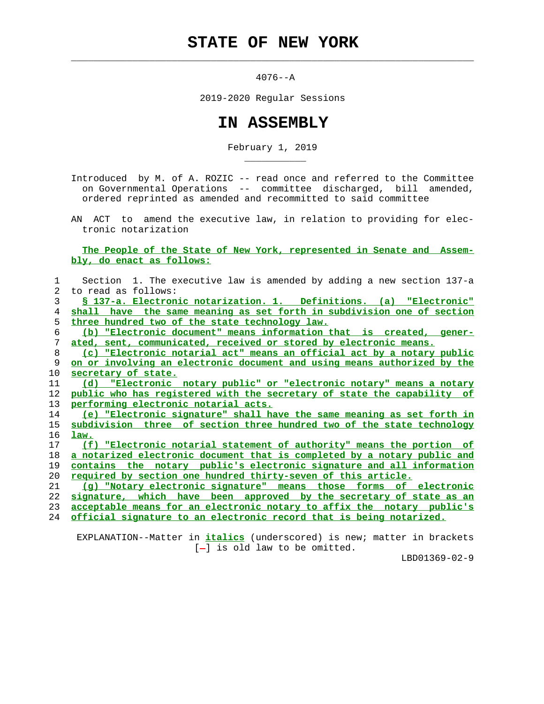$\mathcal{L}_\text{max} = \frac{1}{2} \sum_{i=1}^{n} \frac{1}{2} \sum_{i=1}^{n} \frac{1}{2} \sum_{i=1}^{n} \frac{1}{2} \sum_{i=1}^{n} \frac{1}{2} \sum_{i=1}^{n} \frac{1}{2} \sum_{i=1}^{n} \frac{1}{2} \sum_{i=1}^{n} \frac{1}{2} \sum_{i=1}^{n} \frac{1}{2} \sum_{i=1}^{n} \frac{1}{2} \sum_{i=1}^{n} \frac{1}{2} \sum_{i=1}^{n} \frac{1}{2} \sum_{i=1}^{n} \frac{1$ 

\_\_\_\_\_\_\_\_\_\_\_

4076--A

2019-2020 Regular Sessions

## **IN ASSEMBLY**

February 1, 2019

 Introduced by M. of A. ROZIC -- read once and referred to the Committee on Governmental Operations -- committee discharged, bill amended, ordered reprinted as amended and recommitted to said committee

 AN ACT to amend the executive law, in relation to providing for elec tronic notarization

 **The People of the State of New York, represented in Senate and Assem bly, do enact as follows:**

| 1  | Section 1. The executive law is amended by adding a new section 137-a    |
|----|--------------------------------------------------------------------------|
| 2  | to read as follows:                                                      |
| 3  | S 137-a. Electronic notarization. 1. Definitions. (a) "Electronic"       |
| 4  | shall have the same meaning as set forth in subdivision one of section   |
| 5. | three hundred two of the state technology law.                           |
| 6  | (b) "Electronic document" means information that is created, gener-      |
| 7  | ated, sent, communicated, received or stored by electronic means.        |
| 8  | (c) "Electronic notarial act" means an official act by a notary public   |
| 9  | on or involving an electronic document and using means authorized by the |
| 10 | secretary of state.                                                      |
| 11 | "Electronic notary public" or "electronic notary" means a notary<br>(d)  |
| 12 | public who has registered with the secretary of state the capability of  |
| 13 | performing electronic notarial acts.                                     |
| 14 | (e) "Electronic signature" shall have the same meaning as set forth in   |
| 15 | subdivision three of section three hundred two of the state technology   |
| 16 | law.                                                                     |
| 17 | (f) "Electronic notarial statement of authority" means the portion of    |
| 18 | a notarized electronic document that is completed by a notary public and |
| 19 | contains the notary public's electronic signature and all information    |
| 20 | <u>required by section one hundred thirty-seven of this article.</u>     |
| 21 | (q) "Notary electronic signature" means those forms of electronic        |
| 22 | signature, which have been approved by the secretary of state as an      |
| 23 | acceptable means for an electronic notary to affix the notary public's   |
| 24 | official signature to an electronic record that is being notarized.      |
|    |                                                                          |

 EXPLANATION--Matter in **italics** (underscored) is new; matter in brackets [-] is old law to be omitted.

LBD01369-02-9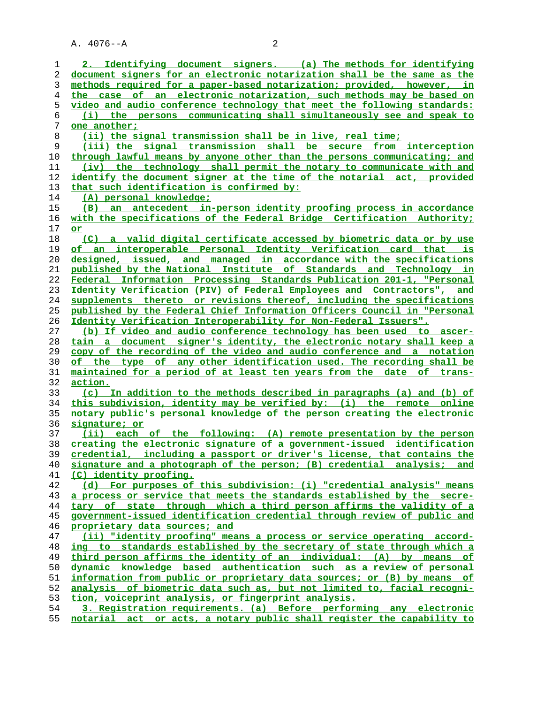A. 4076--A 2

**2. Identifying document signers. (a) The methods for identifying document signers for an electronic notarization shall be the same as the methods required for a paper-based notarization; provided, however, in the case of an electronic notarization, such methods may be based on video and audio conference technology that meet the following standards: (i) the persons communicating shall simultaneously see and speak to one another; (ii) the signal transmission shall be in live, real time; (iii) the signal transmission shall be secure from interception through lawful means by anyone other than the persons communicating; and (iv) the technology shall permit the notary to communicate with and identify the document signer at the time of the notarial act, provided that such identification is confirmed by: (A) personal knowledge; (B) an antecedent in-person identity proofing process in accordance with the specifications of the Federal Bridge Certification Authority; or (C) a valid digital certificate accessed by biometric data or by use of an interoperable Personal Identity Verification card that is designed, issued, and managed in accordance with the specifications published by the National Institute of Standards and Technology in Federal Information Processing Standards Publication 201-1, "Personal Identity Verification (PIV) of Federal Employees and Contractors", and supplements thereto or revisions thereof, including the specifications published by the Federal Chief Information Officers Council in "Personal Identity Verification Interoperability for Non-Federal Issuers". (b) If video and audio conference technology has been used to ascer- tain a document signer's identity, the electronic notary shall keep a copy of the recording of the video and audio conference and a notation of the type of any other identification used. The recording shall be maintained for a period of at least ten years from the date of trans- action. (c) In addition to the methods described in paragraphs (a) and (b) of this subdivision, identity may be verified by: (i) the remote online notary public's personal knowledge of the person creating the electronic signature; or (ii) each of the following: (A) remote presentation by the person creating the electronic signature of a government-issued identification credential, including a passport or driver's license, that contains the signature and a photograph of the person; (B) credential analysis; and (C) identity proofing. (d) For purposes of this subdivision: (i) "credential analysis" means a process or service that meets the standards established by the secre- tary of state through which a third person affirms the validity of a government-issued identification credential through review of public and proprietary data sources; and (ii) "identity proofing" means a process or service operating accord- ing to standards established by the secretary of state through which a third person affirms the identity of an individual: (A) by means of dynamic knowledge based authentication such as a review of personal information from public or proprietary data sources; or (B) by means of analysis of biometric data such as, but not limited to, facial recogni- tion, voiceprint analysis, or fingerprint analysis. 3. Registration requirements. (a) Before performing any electronic notarial act or acts, a notary public shall register the capability to**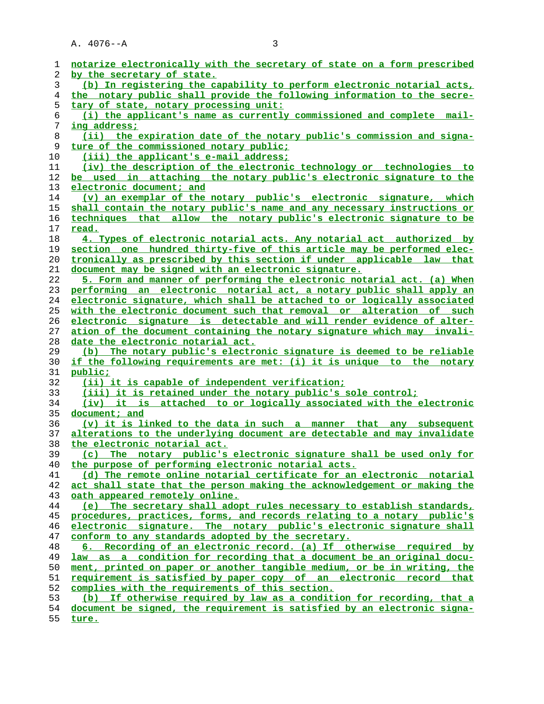A. 4076--A 3

| ı        | notarize electronically with the secretary of state on a form prescribed                                                     |
|----------|------------------------------------------------------------------------------------------------------------------------------|
| 2        | by the secretary of state.                                                                                                   |
| 3        | (b) In registering the capability to perform electronic notarial acts,                                                       |
| 4        | the notary public shall provide the following information to the secre-                                                      |
| 5        | tary of state, notary processing unit:                                                                                       |
| 6        | (i) the applicant's name as currently commissioned and complete mail-                                                        |
| 7        | ing address;                                                                                                                 |
| 8        | (ii) the expiration date of the notary public's commission and signa-                                                        |
| 9        | ture of the commissioned notary public;                                                                                      |
| 10       | (iii) the applicant's e-mail address;                                                                                        |
| 11       | (iv) the description of the electronic technology or technologies to                                                         |
| 12       | be used in attaching the notary public's electronic signature to the                                                         |
| 13       | electronic document; and                                                                                                     |
| 14       | (v) an exemplar of the notary public's electronic signature, which                                                           |
| 15       | shall contain the notary public's name and any necessary instructions or                                                     |
| 16       | techniques that allow the notary public's electronic signature to be                                                         |
| 17       | read.                                                                                                                        |
| 18       | 4. Types of electronic notarial acts. Any notarial act authorized by                                                         |
| 19       | section one hundred thirty-five of this article may be performed elec-                                                       |
| 20       | tronically as prescribed by this section if under applicable law that                                                        |
| 21       | document may be signed with an electronic signature.                                                                         |
| 22       | 5. Form and manner of performing the electronic notarial act. (a) When                                                       |
| 23       | performing an electronic notarial act, a notary public shall apply an                                                        |
| 24       | electronic signature, which shall be attached to or logically associated                                                     |
| 25       | with the electronic document such that removal or alteration of such                                                         |
| 26       | electronic signature is detectable and will render evidence of alter-                                                        |
| 27       | ation of the document containing the notary signature which may invali-                                                      |
| 28       | date the electronic notarial act.                                                                                            |
| 29       | (b) The notary public's electronic signature is deemed to be reliable                                                        |
| 30       | if the following requirements are met: (i) it is unique to the notary                                                        |
| 31       | public;                                                                                                                      |
| 32       | (ii) it is capable of independent verification;                                                                              |
| 33       | (iii) it is retained under the notary public's sole control;                                                                 |
| 34       | (iv) it is attached to or logically associated with the electronic                                                           |
| 35       | document; and                                                                                                                |
| 36       | $(v)$ it is linked to the data in such a manner that any subsequent                                                          |
| 37       | alterations to the underlying document are detectable and may invalidate                                                     |
| 38       | the electronic notarial act.                                                                                                 |
| 39       | (c) The notary public's electronic signature shall be used only for                                                          |
| 40       | the purpose of performing electronic notarial acts.<br>(d) The remote online notarial certificate for an electronic notarial |
| 41<br>42 | act shall state that the person making the acknowledgement or making the                                                     |
| 43       | oath appeared remotely online.                                                                                               |
| 44       | (e) The secretary shall adopt rules necessary to establish standards,                                                        |
| 45       | procedures, practices, forms, and records relating to a notary public's                                                      |
| 46       | electronic signature. The notary public's electronic signature shall                                                         |
| 47       | conform to any standards adopted by the secretary.                                                                           |
| 48       | 6. Recording of an electronic record. (a) If otherwise required by                                                           |
| 49       | law as a condition for recording that a document be an original docu-                                                        |
| 50       | ment, printed on paper or another tangible medium, or be in writing, the                                                     |
| 51       | requirement is satisfied by paper copy of an electronic record that                                                          |
| 52       | complies with the requirements of this section.                                                                              |
| 53       | (b) If otherwise required by law as a condition for recording, that a                                                        |
| 54       | document be signed, the requirement is satisfied by an electronic signa-                                                     |
|          |                                                                                                                              |

**ture.**